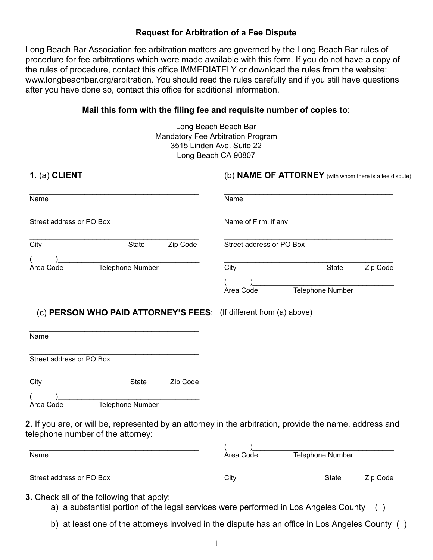### **Request for Arbitration of a Fee Dispute**

Long Beach Bar Association fee arbitration matters are governed by the Long Beach Bar rules of procedure for fee arbitrations which were made available with this form. If you do not have a copy of the rules of procedure, contact this office IMMEDIATELY or download the rules from the website: www.longbeachbar.org/arbitration. You should read the rules carefully and if you still have questions after you have done so, contact this office for additional information.

#### Mail this form with the filing fee and requisite number of copies to:

Long Beach Beach Bar Mandatory Fee Arbitration Program 3515 Linden Ave. Suite 22 Long Beach CA 90807

| 1. (a) CLIENT                                         |                                                                                                                                              |          |                          | (b) NAME OF ATTORNEY (with whom there is a fee dispute) |          |
|-------------------------------------------------------|----------------------------------------------------------------------------------------------------------------------------------------------|----------|--------------------------|---------------------------------------------------------|----------|
| Name                                                  |                                                                                                                                              |          | Name                     |                                                         |          |
| Street address or PO Box                              |                                                                                                                                              |          | Name of Firm, if any     |                                                         |          |
| City                                                  | <b>State</b>                                                                                                                                 | Zip Code | Street address or PO Box |                                                         |          |
| Area Code                                             | Telephone Number                                                                                                                             |          | City                     | <b>State</b>                                            | Zip Code |
|                                                       |                                                                                                                                              |          | Area Code                | Telephone Number                                        |          |
|                                                       |                                                                                                                                              |          |                          |                                                         |          |
|                                                       | (c) PERSON WHO PAID ATTORNEY'S FEES: (If different from (a) above)                                                                           |          |                          |                                                         |          |
|                                                       |                                                                                                                                              |          |                          |                                                         |          |
|                                                       |                                                                                                                                              |          |                          |                                                         |          |
|                                                       | <b>State</b>                                                                                                                                 | Zip Code |                          |                                                         |          |
|                                                       | Telephone Number                                                                                                                             |          |                          |                                                         |          |
| Name<br>Street address or PO Box<br>City<br>Area Code | 2. If you are, or will be, represented by an attorney in the arbitration, provide the name, address and<br>telephone number of the attorney: |          |                          |                                                         |          |

**3.** Check all of the following that apply:

Street address or PO Box

\_\_\_\_\_\_\_\_\_\_\_\_\_\_\_\_\_\_\_\_\_\_\_\_\_\_\_\_\_\_\_\_\_\_\_\_\_\_\_\_\_\_\_

a) a substantial portion of the legal services were performed in Los Angeles County ()

b) at least one of the attorneys involved in the dispute has an office in Los Angeles County ()

\_\_\_\_\_\_\_\_\_\_\_\_\_\_\_\_\_\_\_\_\_\_\_\_\_\_\_\_\_\_\_\_\_\_\_\_\_\_\_\_\_\_\_ City **State** Zip Code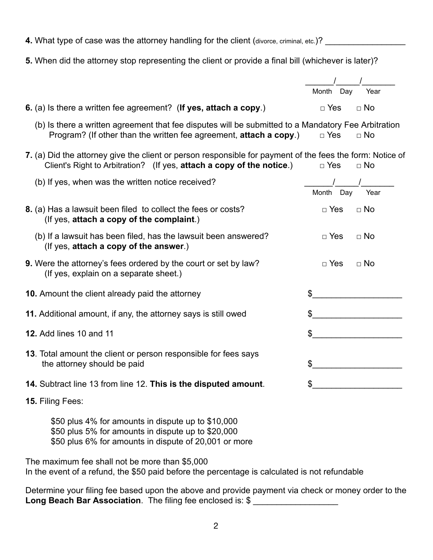- **4.** What type of case was the attorney handling for the client (divorce, criminal, etc.)? \_\_\_\_\_\_\_\_\_\_\_\_\_\_\_\_\_\_\_\_
- **5.** When did the attorney stop representing the client or provide a final bill (whichever is later)?

 $\frac{1}{2}$   $\frac{1}{2}$   $\frac{1}{2}$   $\frac{1}{2}$   $\frac{1}{2}$   $\frac{1}{2}$   $\frac{1}{2}$   $\frac{1}{2}$   $\frac{1}{2}$   $\frac{1}{2}$   $\frac{1}{2}$   $\frac{1}{2}$   $\frac{1}{2}$   $\frac{1}{2}$   $\frac{1}{2}$   $\frac{1}{2}$   $\frac{1}{2}$   $\frac{1}{2}$   $\frac{1}{2}$   $\frac{1}{2}$   $\frac{1}{2}$   $\frac{1}{2}$ 

Month Day Year

| 6. (a) Is there a written fee agreement? (If yes, attach a copy.)                                                                                                                  | $\Box$ Yes     | $\Box$ No                                                                                                                                                                                                                            |
|------------------------------------------------------------------------------------------------------------------------------------------------------------------------------------|----------------|--------------------------------------------------------------------------------------------------------------------------------------------------------------------------------------------------------------------------------------|
| (b) Is there a written agreement that fee disputes will be submitted to a Mandatory Fee Arbitration<br>Program? (If other than the written fee agreement, attach a copy.)          | $\Box$ Yes     | $\Box$ No                                                                                                                                                                                                                            |
| 7. (a) Did the attorney give the client or person responsible for payment of the fees the form: Notice of<br>Client's Right to Arbitration? (If yes, attach a copy of the notice.) | $\Box$ Yes     | $\Box$ No                                                                                                                                                                                                                            |
| (b) If yes, when was the written notice received?                                                                                                                                  | Month Day      | Year                                                                                                                                                                                                                                 |
| 8. (a) Has a lawsuit been filed to collect the fees or costs?<br>(If yes, attach a copy of the complaint.)                                                                         | $\Box$ Yes     | $\Box$ No                                                                                                                                                                                                                            |
| (b) If a lawsuit has been filed, has the lawsuit been answered?<br>(If yes, attach a copy of the answer.)                                                                          | $\Box$ Yes     | $\Box$ No                                                                                                                                                                                                                            |
| 9. Were the attorney's fees ordered by the court or set by law?<br>(If yes, explain on a separate sheet.)                                                                          | $\Box$ Yes     | $\Box$ No                                                                                                                                                                                                                            |
| 10. Amount the client already paid the attorney                                                                                                                                    | $\mathfrak{S}$ |                                                                                                                                                                                                                                      |
| 11. Additional amount, if any, the attorney says is still owed                                                                                                                     |                | $\frac{1}{2}$                                                                                                                                                                                                                        |
| <b>12.</b> Add lines 10 and 11                                                                                                                                                     |                |                                                                                                                                                                                                                                      |
| 13. Total amount the client or person responsible for fees says<br>the attorney should be paid                                                                                     | \$             |                                                                                                                                                                                                                                      |
| 14. Subtract line 13 from line 12. This is the disputed amount.                                                                                                                    | \$             | <u>and the community of the community of the community of the community of the community of the community of the community of the community of the community of the community of the community of the community of the community</u> |
| 15. Filing Fees:                                                                                                                                                                   |                |                                                                                                                                                                                                                                      |
| \$50 plus 4% for amounts in dispute up to \$10,000<br>\$50 plus 5% for amounts in dispute up to \$20,000<br>\$50 plus 6% for amounts in dispute of 20,001 or more                  |                |                                                                                                                                                                                                                                      |
|                                                                                                                                                                                    |                |                                                                                                                                                                                                                                      |

The maximum fee shall not be more than \$5,000 In the event of a refund, the \$50 paid before the percentage is calculated is not refundable

Determine your filing fee based upon the above and provide payment via check or money order to the Long Beach Bar Association. The filing fee enclosed is: \$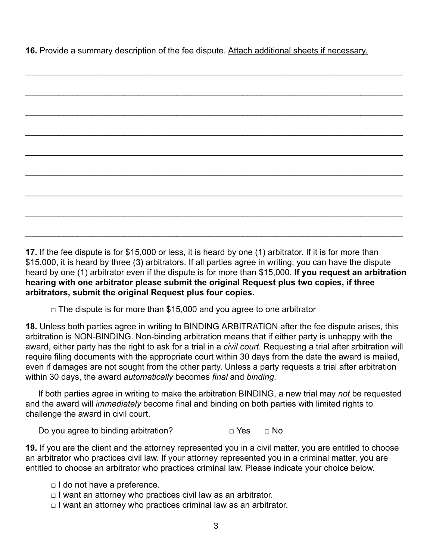**16.** Provide a summary description of the fee dispute. Attach additional sheets if necessary.

\_\_\_\_\_\_\_\_\_\_\_\_\_\_\_\_\_\_\_\_\_\_\_\_\_\_\_\_\_\_\_\_\_\_\_\_\_\_\_\_\_\_\_\_\_\_\_\_\_\_\_\_\_\_\_\_\_\_\_\_\_\_\_\_\_\_\_\_\_\_\_\_\_\_\_\_\_\_\_\_

**17.** If the fee dispute is for \$15,000 or less, it is heard by one (1) arbitrator. If it is for more than \$15,000, it is heard by three (3) arbitrators. If all parties agree in writing, you can have the dispute heard by one (1) arbitrator even if the dispute is for more than \$15,000. **If you request an arbitration hearing with one arbitrator please submit the original Request plus two copies, if three arbitrators, submit the original Request plus four copies.**

 $\Box$  The dispute is for more than \$15,000 and you agree to one arbitrator

**18.**  Unless both parties agree in writing to BINDING ARBITRATION after the fee dispute arises, this arbitration is NON-BINDING. Non-binding arbitration means that if either party is unhappy with the award, either party has the right to ask for a trial in a *civil court*. Requesting a trial after arbitration will require filing documents with the appropriate court within 30 days from the date the award is mailed, even if damages are not sought from the other party. Unless a party requests a trial after arbitration within 30 days, the award *automatically* becomes *final* and *binding*.

If both parties agree in writing to make the arbitration BINDING, a new trial may *not* be requested and the award will *immediately* become final and binding on both parties with limited rights to challenge the award in civil court.

Do you agree to binding arbitration?  $\Box$  Yes  $\Box$  No

**19.** If you are the client and the attorney represented you in a civil matter, you are entitled to choose an arbitrator who practices civil law. If your attorney represented you in a criminal matter, you are entitled to choose an arbitrator who practices criminal law. Please indicate your choice below.

 $\Box$  I do not have a preference.

- $\Box$  I want an attorney who practices civil law as an arbitrator.
- $\Box$  I want an attorney who practices criminal law as an arbitrator.